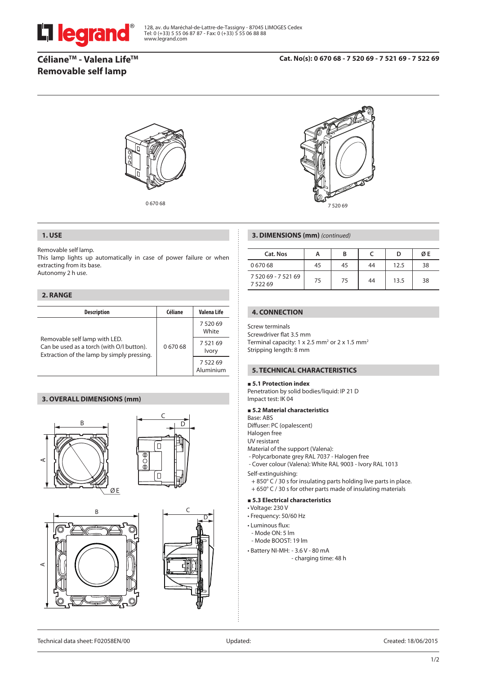

128, av. du Maréchal-de-Lattre-de-Tassigny - 87045 LIMOGES Cedex Tel: 0 (+33) 5 55 06 87 87 - Fax: 0 (+33) 5 55 06 88 88 www.legrand.com

# **CélianeTM - Valena LifeTM Removable self lamp**



0 670 68 7 520 69

### **1. USE**

Removable self lamp.

This lamp lights up automatically in case of power failure or when extracting from its base.

Autonomy 2 h use.

### **2. RANGE**

| <b>Description</b>                                                                                                       | Céliane | Valena Life            |  |
|--------------------------------------------------------------------------------------------------------------------------|---------|------------------------|--|
| Removable self lamp with LED.<br>Can be used as a torch (with O/I button).<br>Extraction of the lamp by simply pressing. |         | 7 520 69<br>White      |  |
|                                                                                                                          | 067068  | 752169<br><b>Ivory</b> |  |
|                                                                                                                          |         | 7 522 69<br>Aluminium  |  |

# **3. OVERALL DIMENSIONS (mm)**







### **3. DIMENSIONS (mm)** *(continued)*

| Cat. Nos                           | A  | в  |    |      | ØΕ |
|------------------------------------|----|----|----|------|----|
| 067068                             | 45 | 45 | 44 | 12.5 | 38 |
| 7 520 69 - 7 521 69<br>7 5 2 2 6 9 | 75 | 75 | 44 | 13.5 | 38 |

# **4. CONNECTION**

Screw terminals Screwdriver flat 3.5 mm Terminal capacity:  $1 \times 2.5$  mm<sup>2</sup> or  $2 \times 1.5$  mm<sup>2</sup> Stripping length: 8 mm

# **5. TECHNICAL CHARACTERISTICS**

#### **5.1 Protection index**

Penetration by solid bodies/liquid: IP 21 D Impact test: IK 04

 **5.2 Material characteristics**

Base: ABS

Diffuser: PC (opalescent)

- Halogen free
- UV resistant
- Material of the support (Valena):
- Polycarbonate grey RAL 7037 Halogen free
- Cover colour (Valena): White RAL 9003 Ivory RAL 1013 Self-extinguishing:
- + 850° C / 30 s for insulating parts holding live parts in place.
- + 650° C / 30 s for other parts made of insulating materials

#### **5.3 Electrical characteristics**

- Voltage: 230 V
- Frequency: 50/60 Hz
- Luminous flux:
	- Mode ON: 5 lm
- Mode BOOST: 19 lm
- Battery NI-MH: 3.6 V 80 mA - charging time: 48 h